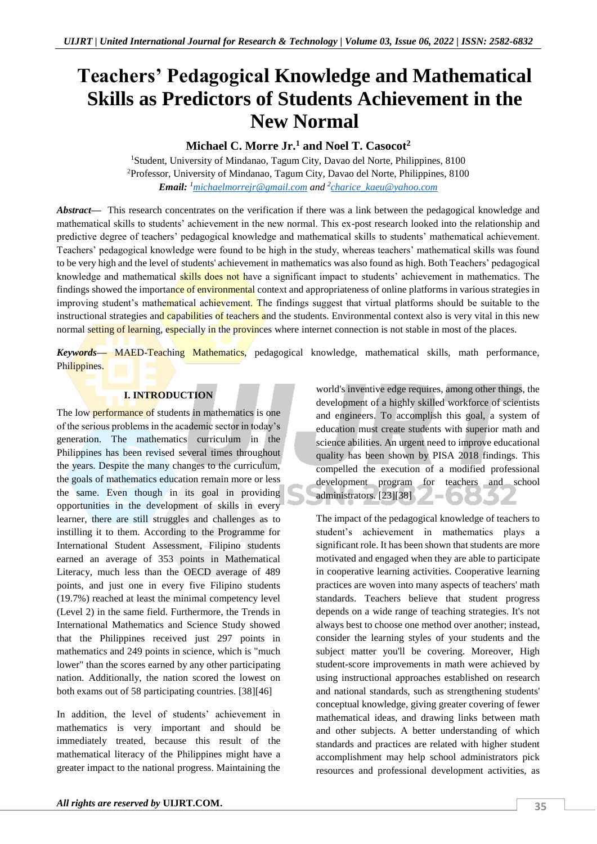# **Teachers' Pedagogical Knowledge and Mathematical Skills as Predictors of Students Achievement in the New Normal**

## **Michael C. Morre Jr.<sup>1</sup> and Noel T. Casocot<sup>2</sup>**

<sup>1</sup>Student, University of Mindanao, Tagum City, Davao del Norte, Philippines, 8100 <sup>2</sup>Professor, University of Mindanao, Tagum City, Davao del Norte, Philippines, 8100 *Email: <sup>1</sup>[michaelmorrejr@gmail.com](mailto:michaelmorrejr@gmail.com) and <sup>2</sup> [charice\\_kaeu@yahoo.com](mailto:charice_kaeu@yahoo.com)*

*Abstract*— This research concentrates on the verification if there was a link between the pedagogical knowledge and mathematical skills to students' achievement in the new normal. This ex-post research looked into the relationship and predictive degree of teachers' pedagogical knowledge and mathematical skills to students' mathematical achievement. Teachers' pedagogical knowledge were found to be high in the study, whereas teachers' mathematical skills was found to be very high and the level of students' achievement in mathematics was also found as high. Both Teachers' pedagogical knowledge and mathematical skills does not have a significant impact to students' achievement in mathematics. The findings showed the importance of environmental context and appropriateness of online platforms in various strategies in improving student's mathematical achievement. The findings suggest that virtual platforms should be suitable to the instructional strategies and capabilities of teachers and the students. Environmental context also is very vital in this new normal setting of learning, especially in the provinces where internet connection is not stable in most of the places.

*Keywords—* MAED-Teaching Mathematics, pedagogical knowledge, mathematical skills, math performance, Philippines.

#### **I. INTRODUCTION**

The low **performance** of students in mathematics is one of the serious problems in the academic sector in today's generation. The mathematics curriculum in the Philippines has been revised several times throughout the years. Despite the many changes to the curriculum, the goals of mathematics education remain more or less the same. Even though in its goal in providing opportunities in the development of skills in every learner, there are still struggles and challenges as to instilling it to them. According to the Programme for International Student Assessment, Filipino students earned an average of 353 points in Mathematical Literacy, much less than the OECD average of 489 points, and just one in every five Filipino students (19.7%) reached at least the minimal competency level (Level 2) in the same field. Furthermore, the Trends in International Mathematics and Science Study showed that the Philippines received just 297 points in mathematics and 249 points in science, which is "much lower" than the scores earned by any other participating nation. Additionally, the nation scored the lowest on both exams out of 58 participating countries. [38][46]

In addition, the level of students' achievement in mathematics is very important and should be immediately treated, because this result of the mathematical literacy of the Philippines might have a greater impact to the national progress. Maintaining the

world's inventive edge requires, among other things, the development of a highly skilled workforce of scientists and engineers. To accomplish this goal, a system of education must create students with superior math and science abilities. An urgent need to improve educational quality has been shown by PISA 2018 findings. This compelled the execution of a modified professional development program for teachers and school administrators. [23][38]

The impact of the pedagogical knowledge of teachers to student's achievement in mathematics plays a significant role. It has been shown that students are more motivated and engaged when they are able to participate in cooperative learning activities. Cooperative learning practices are woven into many aspects of teachers' math standards. Teachers believe that student progress depends on a wide range of teaching strategies. It's not always best to choose one method over another; instead, consider the learning styles of your students and the subject matter you'll be covering. Moreover, High student-score improvements in math were achieved by using instructional approaches established on research and national standards, such as strengthening students' conceptual knowledge, giving greater covering of fewer mathematical ideas, and drawing links between math and other subjects. A better understanding of which standards and practices are related with higher student accomplishment may help school administrators pick resources and professional development activities, as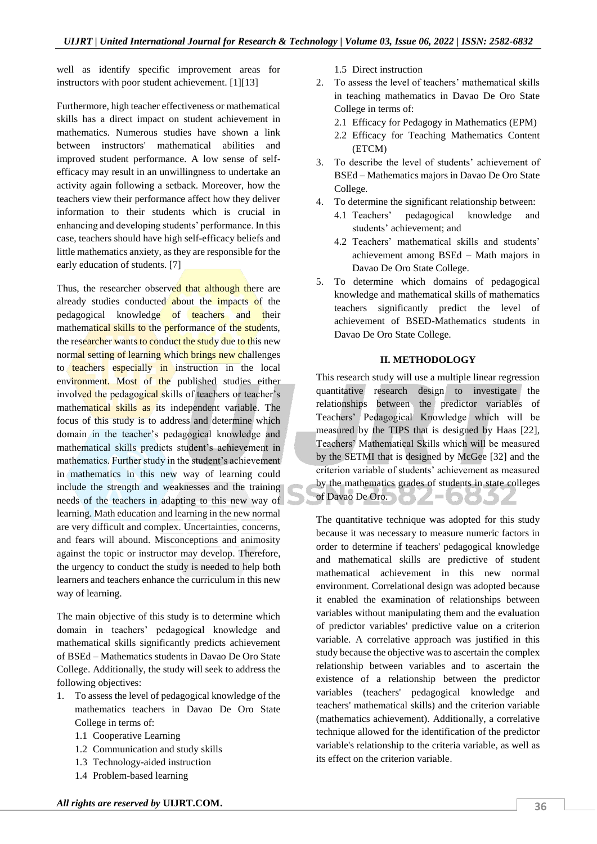well as identify specific improvement areas for instructors with poor student achievement. [1][13]

Furthermore, high teacher effectiveness or mathematical skills has a direct impact on student achievement in mathematics. Numerous studies have shown a link between instructors' mathematical abilities and improved student performance. A low sense of selfefficacy may result in an unwillingness to undertake an activity again following a setback. Moreover, how the teachers view their performance affect how they deliver information to their students which is crucial in enhancing and developing students' performance. In this case, teachers should have high self-efficacy beliefs and little mathematics anxiety, as they are responsible for the early education of students. [7]

Thus, the researcher observed that although there are already studies conducted about the impacts of the pedagogical knowledge of teachers and their mathematical skills to the performance of the students, the researcher wants to conduct the study due to this new normal setting of learning which brings new challenges to teachers especially in instruction in the local environment. Most of the published studies either involved the pedagogical skills of teachers or teacher's mathematical skills as its independent variable. The focus of this study is to address and determine which domain in the teacher's pedagogical knowledge and mathematical skills predicts student's achievement in mathematics. Further study in the student's achievement in mathematics in this new way of learning could include the strength and weaknesses and the training needs of the teachers in adapting to this new way of learning. Math education and learning in the new normal are very difficult and complex. Uncertainties, concerns, and fears will abound. Misconceptions and animosity against the topic or instructor may develop. Therefore, the urgency to conduct the study is needed to help both learners and teachers enhance the curriculum in this new way of learning.

The main objective of this study is to determine which domain in teachers' pedagogical knowledge and mathematical skills significantly predicts achievement of BSEd – Mathematics students in Davao De Oro State College. Additionally, the study will seek to address the following objectives:

- 1. To assess the level of pedagogical knowledge of the mathematics teachers in Davao De Oro State College in terms of:
	- 1.1 Cooperative Learning
	- 1.2 Communication and study skills
	- 1.3 Technology-aided instruction
	- 1.4 Problem-based learning

1.5 Direct instruction

- 2. To assess the level of teachers' mathematical skills in teaching mathematics in Davao De Oro State College in terms of:
	- 2.1 Efficacy for Pedagogy in Mathematics (EPM)
	- 2.2 Efficacy for Teaching Mathematics Content (ETCM)
- 3. To describe the level of students' achievement of BSEd – Mathematics majors in Davao De Oro State College.
- 4. To determine the significant relationship between:
	- 4.1 Teachers' pedagogical knowledge and students' achievement; and
	- 4.2 Teachers' mathematical skills and students' achievement among BSEd – Math majors in Davao De Oro State College.
- 5. To determine which domains of pedagogical knowledge and mathematical skills of mathematics teachers significantly predict the level of achievement of BSED-Mathematics students in Davao De Oro State College.

#### **II. METHODOLOGY**

This research study will use a multiple linear regression quantitative research design to investigate the relationships between the predictor variables of Teachers' Pedagogical Knowledge which will be measured by the TIPS that is designed by Haas [22], Teachers' Mathematical Skills which will be measured by the SETMI that is designed by McGee [32] and the criterion variable of students' achievement as measured by the mathematics grades of students in state colleges of Davao De Oro. Е ООЗИ

The quantitative technique was adopted for this study because it was necessary to measure numeric factors in order to determine if teachers' pedagogical knowledge and mathematical skills are predictive of student mathematical achievement in this new normal environment. Correlational design was adopted because it enabled the examination of relationships between variables without manipulating them and the evaluation of predictor variables' predictive value on a criterion variable. A correlative approach was justified in this study because the objective was to ascertain the complex relationship between variables and to ascertain the existence of a relationship between the predictor variables (teachers' pedagogical knowledge and teachers' mathematical skills) and the criterion variable (mathematics achievement). Additionally, a correlative technique allowed for the identification of the predictor variable's relationship to the criteria variable, as well as its effect on the criterion variable.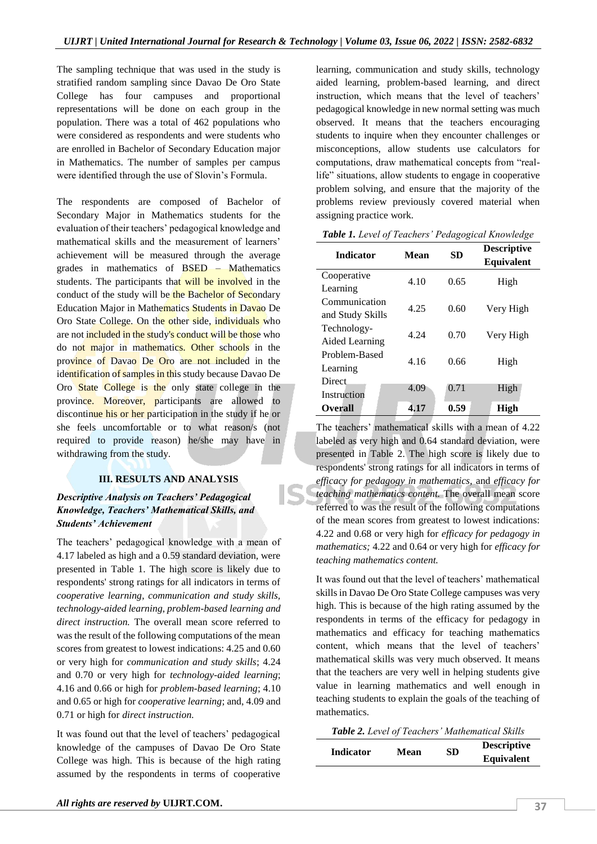The sampling technique that was used in the study is stratified random sampling since Davao De Oro State College has four campuses and proportional representations will be done on each group in the population. There was a total of 462 populations who were considered as respondents and were students who are enrolled in Bachelor of Secondary Education major in Mathematics. The number of samples per campus were identified through the use of Slovin's Formula.

The respondents are composed of Bachelor of Secondary Major in Mathematics students for the evaluation of their teachers' pedagogical knowledge and mathematical skills and the measurement of learners' achievement will be measured through the average grades in mathematics of BSED – Mathematics students. The participants that will be involved in the conduct of the study will be the Bachelor of Secondary Education Major in Mathematics Students in Davao De Oro State College. On the other side, individuals who are not included in the study's conduct will be those who do not major in mathematics. Other schools in the province of Davao De Oro are not included in the identification of samples in this study because Davao De Oro State College is the only state college in the province. Moreover, participants are allowed to discontinue his or her participation in the study if he or she feels uncomfortable or to what reason/s (not required to provide reason) he/she may have in withdrawing from the study.

#### **III. RESULTS AND ANALYSIS**

#### *Descriptive Analysis on Teachers' Pedagogical Knowledge, Teachers' Mathematical Skills, and Students' Achievement*

The teachers' pedagogical knowledge with a mean of 4.17 labeled as high and a 0.59 standard deviation, were presented in Table 1. The high score is likely due to respondents' strong ratings for all indicators in terms of *cooperative learning*, *communication and study skills, technology-aided learning, problem-based learning and direct instruction.* The overall mean score referred to was the result of the following computations of the mean scores from greatest to lowest indications: 4.25 and 0.60 or very high for *communication and study skills*; 4.24 and 0.70 or very high for *technology-aided learning*; 4.16 and 0.66 or high for *problem-based learning*; 4.10 and 0.65 or high for *cooperative learning*; and, 4.09 and 0.71 or high for *direct instruction.*

It was found out that the level of teachers' pedagogical knowledge of the campuses of Davao De Oro State College was high. This is because of the high rating assumed by the respondents in terms of cooperative

learning, communication and study skills, technology aided learning, problem-based learning, and direct instruction, which means that the level of teachers' pedagogical knowledge in new normal setting was much observed. It means that the teachers encouraging students to inquire when they encounter challenges or misconceptions, allow students use calculators for computations, draw mathematical concepts from "reallife" situations, allow students to engage in cooperative problem solving, and ensure that the majority of the problems review previously covered material when assigning practice work.

| <b>Indicator</b>                     | <b>SD</b><br>Mean |      | <b>Descriptive</b><br>Equivalent |
|--------------------------------------|-------------------|------|----------------------------------|
| Cooperative<br>Learning              | 4.10              | 0.65 | High                             |
| Communication<br>and Study Skills    | 4.25              | 0.60 | Very High                        |
| Technology-<br><b>Aided Learning</b> | 4.24              | 0.70 | Very High                        |
| Problem-Based<br>Learning            | 4.16              | 0.66 | High                             |
| Direct.<br>Instruction               | 4.09              | 0.71 | High                             |
| Overall                              | 4.17              | 0.59 | High                             |

*Table 1. Level of Teachers' Pedagogical Knowledge*

The teachers' mathematical skills with a mean of 4.22 labeled as very high and 0.64 standard deviation, were presented in Table 2. The high score is likely due to respondents' strong ratings for all indicators in terms of *efficacy for pedagogy in mathematics,* and *efficacy for teaching mathematics content.* The overall mean score referred to was the result of the following computations of the mean scores from greatest to lowest indications: 4.22 and 0.68 or very high for *efficacy for pedagogy in mathematics;* 4.22 and 0.64 or very high for *efficacy for teaching mathematics content.*

It was found out that the level of teachers' mathematical skills in Davao De Oro State College campuses was very high. This is because of the high rating assumed by the respondents in terms of the efficacy for pedagogy in mathematics and efficacy for teaching mathematics content, which means that the level of teachers' mathematical skills was very much observed. It means that the teachers are very well in helping students give value in learning mathematics and well enough in teaching students to explain the goals of the teaching of mathematics.

*Table 2. Level of Teachers' Mathematical Skills*

| <b>Indicator</b> | Mean | SD | <b>Descriptive</b> |
|------------------|------|----|--------------------|
|                  |      |    | <b>Equivalent</b>  |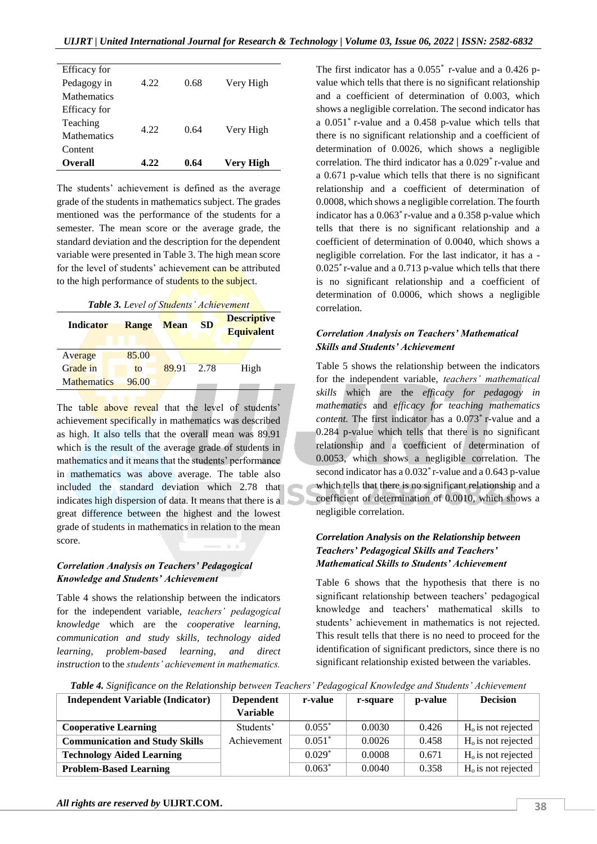| Efficacy for       |      |      |           |
|--------------------|------|------|-----------|
| Pedagogy in        | 4.22 | 0.68 | Very High |
| <b>Mathematics</b> |      |      |           |
| Efficacy for       |      |      |           |
| Teaching           |      |      |           |
| <b>Mathematics</b> | 4.22 | 0.64 | Very High |
| Content            |      |      |           |
| Overall            | 4.22 | 0.64 | Very High |

The students' achievement is defined as the average grade of the students in mathematics subject. The grades mentioned was the performance of the students for a semester. The mean score or the average grade, the standard deviation and the description for the dependent variable were presented in Table 3. The high mean score for the level of students' achievement can be attributed to the high performance of students to the subject.

*Table 3. Level of Students' Achievement*

| <b>Indicator</b>   | Range | <b>Mean</b> | <b>SD</b> | <b>Descriptive</b><br><b>Equivalent</b> |
|--------------------|-------|-------------|-----------|-----------------------------------------|
| Average            | 85.00 |             |           |                                         |
| Grade in           | to    | 89.91       | 2.78      | High                                    |
| <b>Mathematics</b> | 96.00 |             |           |                                         |

The table above reveal that the level of students' achievement specifically in mathematics was described as high. It also tells that the overall mean was 89.91 which is the result of the average grade of students in mathematics and it means that the students' performance in mathematics was above average. The table also included the standard deviation which 2.78 that indicates high dispersion of data. It means that there is a great difference between the highest and the lowest grade of students in mathematics in relation to the mean score.

#### *Correlation Analysis on Teachers' Pedagogical Knowledge and Students' Achievement*

Table 4 shows the relationship between the indicators for the independent variable, *teachers' pedagogical knowledge* which are the *cooperative learning, communication and study skills, technology aided learning, problem-based learning, and direct instruction* to the *students' achievement in mathematics.* 

The first indicator has a  $0.055^*$  r-value and a  $0.426$  pvalue which tells that there is no significant relationship and a coefficient of determination of 0.003, which shows a negligible correlation. The second indicator has a 0.051\* r-value and a 0.458 p-value which tells that there is no significant relationship and a coefficient of determination of 0.0026, which shows a negligible correlation. The third indicator has a 0.029\* r-value and a 0.671 p-value which tells that there is no significant relationship and a coefficient of determination of 0.0008, which shows a negligible correlation. The fourth indicator has a 0.063\* r-value and a 0.358 p-value which tells that there is no significant relationship and a coefficient of determination of 0.0040, which shows a negligible correlation. For the last indicator, it has a - 0.025\* r-value and a 0.713 p-value which tells that there is no significant relationship and a coefficient of determination of 0.0006, which shows a negligible correlation.

#### *Correlation Analysis on Teachers' Mathematical Skills and Students' Achievement*

Table 5 shows the relationship between the indicators for the independent variable, *teachers' mathematical skills* which are the *efficacy for pedagogy in mathematics* and *efficacy for teaching mathematics content.* The first indicator has a 0.073\* r-value and a 0.284 p-value which tells that there is no significant relationship and a coefficient of determination of 0.0053, which shows a negligible correlation. The second indicator has a 0.032\* r-value and a 0.643 p-value which tells that there is no significant relationship and a coefficient of determination of 0.0010, which shows a negligible correlation.

#### *Correlation Analysis on the Relationship between Teachers' Pedagogical Skills and Teachers' Mathematical Skills to Students' Achievement*

Table 6 shows that the hypothesis that there is no significant relationship between teachers' pedagogical knowledge and teachers' mathematical skills to students' achievement in mathematics is not rejected. This result tells that there is no need to proceed for the identification of significant predictors, since there is no significant relationship existed between the variables.

*Table 4. Significance on the Relationship between Teachers' Pedagogical Knowledge and Students' Achievement*

| <b>Independent Variable (Indicator)</b> | <b>Dependent</b> | r-value  | r-square | p-value | <b>Decision</b>      |
|-----------------------------------------|------------------|----------|----------|---------|----------------------|
|                                         | Variable         |          |          |         |                      |
| <b>Cooperative Learning</b>             | Students'        | $0.055*$ | 0.0030   | 0.426   | $Ho$ is not rejected |
| <b>Communication and Study Skills</b>   | Achievement      | $0.051*$ | 0.0026   | 0.458   | $Ho$ is not rejected |
| <b>Technology Aided Learning</b>        |                  | $0.029*$ | 0.0008   | 0.671   | $Ho$ is not rejected |
| <b>Problem-Based Learning</b>           |                  | $0.063*$ | 0.0040   | 0.358   | $Ho$ is not rejected |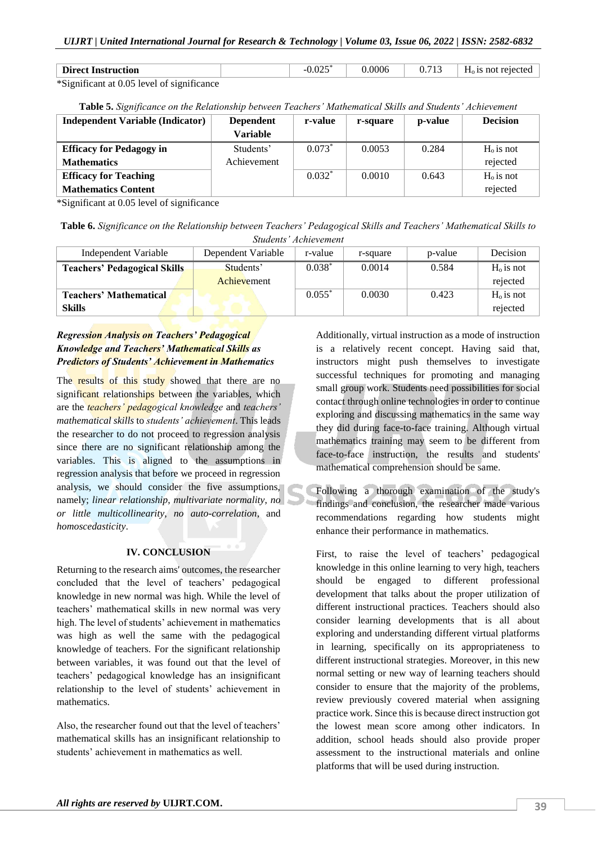| <b>Direct Instruction</b>                                            |  | $\bigcap_{n=1}^{\infty}$ | 0006 | 0.713 | $H0$ is not rejected |
|----------------------------------------------------------------------|--|--------------------------|------|-------|----------------------|
| $\frac{\text{K}}{\text{S}}$ ignificant at 0.05 lavel of significance |  |                          |      |       |                      |

\*Significant at 0.05 level of significance

**Table 5.** *Significance on the Relationship between Teachers' Mathematical Skills and Students' Achievement*

| <b>Independent Variable (Indicator)</b> | <b>Dependent</b> | r-value  | r-square | p-value | <b>Decision</b> |
|-----------------------------------------|------------------|----------|----------|---------|-----------------|
|                                         | Variable         |          |          |         |                 |
| <b>Efficacy for Pedagogy in</b>         | Students'        | $0.073*$ | 0.0053   | 0.284   | $H_0$ is not    |
| <b>Mathematics</b>                      | Achievement      |          |          |         | rejected        |
| <b>Efficacy for Teaching</b>            |                  | $0.032*$ | 0.0010   | 0.643   | $Ho$ is not     |
| <b>Mathematics Content</b>              |                  |          |          |         | rejected        |

\*Significant at 0.05 level of significance

**Table 6.** *Significance on the Relationship between Teachers' Pedagogical Skills and Teachers' Mathematical Skills to Students' Achievement*

| <i>Sungenis Achievement</i>         |                    |          |          |         |             |  |
|-------------------------------------|--------------------|----------|----------|---------|-------------|--|
| Independent Variable                | Dependent Variable | r-value  | r-square | p-value | Decision    |  |
| <b>Teachers' Pedagogical Skills</b> | Students'          | $0.038*$ | 0.0014   | 0.584   | $Ho$ is not |  |
|                                     | Achievement        |          |          |         | rejected    |  |
| <b>Teachers' Mathematical</b>       |                    | $0.055*$ | 0.0030   | 0.423   | $Ho$ is not |  |
| <b>Skills</b>                       |                    |          |          |         | rejected    |  |

## *Regression Analysis on Teachers' Pedagogical Knowledge and Teachers' Mathematical Skills as Predictors of Students' Achievement in Mathematics*

The results of this study showed that there are no significant relationships between the variables, which are the *teachers' pedagogical knowledge* and *teachers' mathematical skills* to *students' achievement*. This leads the researcher to do not proceed to regression analysis since there are no significant relationship among the variables. This is aligned to the assumptions in regression analysis that before we proceed in regression analysis, we should consider the five assumptions, namely; *linear relationship*, *multivariate normality*, *no or little multicollinearity*, *no auto-correlation*, and *homoscedasticity*.

### **IV. CONCLUSION**

Returning to the research aims' outcomes, the researcher concluded that the level of teachers' pedagogical knowledge in new normal was high. While the level of teachers' mathematical skills in new normal was very high. The level of students' achievement in mathematics was high as well the same with the pedagogical knowledge of teachers. For the significant relationship between variables, it was found out that the level of teachers' pedagogical knowledge has an insignificant relationship to the level of students' achievement in mathematics.

Also, the researcher found out that the level of teachers' mathematical skills has an insignificant relationship to students' achievement in mathematics as well.

Additionally, virtual instruction as a mode of instruction is a relatively recent concept. Having said that, instructors might push themselves to investigate successful techniques for promoting and managing small group work. Students need possibilities for social contact through online technologies in order to continue exploring and discussing mathematics in the same way they did during face-to-face training. Although virtual mathematics training may seem to be different from face-to-face instruction, the results and students' mathematical comprehension should be same.

Following a thorough examination of the study's findings and conclusion, the researcher made various recommendations regarding how students might enhance their performance in mathematics.

First, to raise the level of teachers' pedagogical knowledge in this online learning to very high, teachers should be engaged to different professional development that talks about the proper utilization of different instructional practices. Teachers should also consider learning developments that is all about exploring and understanding different virtual platforms in learning, specifically on its appropriateness to different instructional strategies. Moreover, in this new normal setting or new way of learning teachers should consider to ensure that the majority of the problems, review previously covered material when assigning practice work. Since this is because direct instruction got the lowest mean score among other indicators. In addition, school heads should also provide proper assessment to the instructional materials and online platforms that will be used during instruction.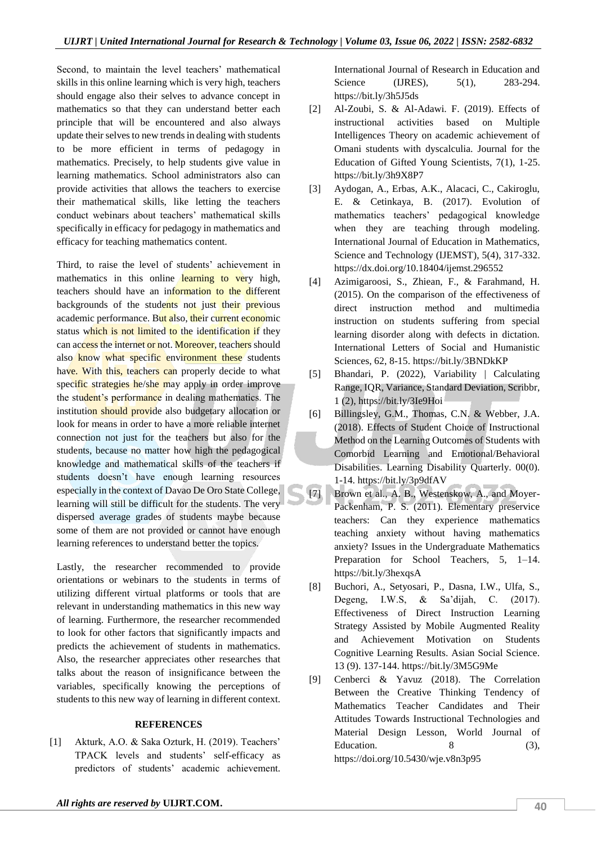Second, to maintain the level teachers' mathematical skills in this online learning which is very high, teachers should engage also their selves to advance concept in mathematics so that they can understand better each principle that will be encountered and also always update their selves to new trends in dealing with students to be more efficient in terms of pedagogy in mathematics. Precisely, to help students give value in learning mathematics. School administrators also can provide activities that allows the teachers to exercise their mathematical skills, like letting the teachers conduct webinars about teachers' mathematical skills specifically in efficacy for pedagogy in mathematics and efficacy for teaching mathematics content.

Third, to raise the level of students' achievement in mathematics in this online learning to very high, teachers should have an information to the different backgrounds of the students not just their previous academic performance. But also, their current economic status which is not limited to the identification if they can access the internet or not. Moreover, teachers should also know what specific environment these students have. With this, teachers can properly decide to what specific strategies he/she may apply in order improve the student's performance in dealing mathematics. The institution should provide also budgetary allocation or look for means in order to have a more reliable internet connection not just for the teachers but also for the students, because no matter how high the pedagogical knowledge and mathematical skills of the teachers if students doesn't have enough learning resources especially in the context of Davao De Oro State College, learning will still be difficult for the students. The very dispersed average grades of students maybe because some of them are not provided or cannot have enough learning references to understand better the topics.

Lastly, the researcher recommended to provide orientations or webinars to the students in terms of utilizing different virtual platforms or tools that are relevant in understanding mathematics in this new way of learning. Furthermore, the researcher recommended to look for other factors that significantly impacts and predicts the achievement of students in mathematics. Also, the researcher appreciates other researches that talks about the reason of insignificance between the variables, specifically knowing the perceptions of students to this new way of learning in different context.

#### **REFERENCES**

[1] Akturk, A.O. & Saka Ozturk, H. (2019). Teachers' TPACK levels and students' self-efficacy as predictors of students' academic achievement.

International Journal of Research in Education and Science (IJRES), 5(1), 283-294. https://bit.ly/3h5J5ds

- [2] Al-Zoubi, S. & Al-Adawi. F. (2019). Effects of instructional activities based on Multiple Intelligences Theory on academic achievement of Omani students with dyscalculia. Journal for the Education of Gifted Young Scientists, 7(1), 1-25. https://bit.ly/3h9X8P7
- [3] Aydogan, A., Erbas, A.K., Alacaci, C., Cakiroglu, E. & Cetinkaya, B. (2017). Evolution of mathematics teachers' pedagogical knowledge when they are teaching through modeling. International Journal of Education in Mathematics, Science and Technology (IJEMST), 5(4), 317-332. https://dx.doi.org/10.18404/ijemst.296552
- [4] Azimigaroosi, S., Zhiean, F., & Farahmand, H. (2015). On the comparison of the effectiveness of direct instruction method and multimedia instruction on students suffering from special learning disorder along with defects in dictation. International Letters of Social and Humanistic Sciences, 62, 8-15. https://bit.ly/3BNDkKP
- [5] Bhandari, P. (2022), Variability | Calculating Range, IQR, Variance, Standard Deviation, Scribbr, 1 (2), https://bit.ly/3Ie9Hoi
- [6] Billingsley, G.M., Thomas, C.N. & Webber, J.A. (2018). Effects of Student Choice of Instructional Method on the Learning Outcomes of Students with Comorbid Learning and Emotional/Behavioral Disabilities. Learning Disability Quarterly. 00(0). 1-14. https://bit.ly/3p9dfAV
- [7] Brown et al., A. B., Westenskow, A., and Moyer-Packenham, P. S. (2011). Elementary preservice teachers: Can they experience mathematics teaching anxiety without having mathematics anxiety? Issues in the Undergraduate Mathematics Preparation for School Teachers, 5, 1–14. https://bit.ly/3hexqsA
- [8] Buchori, A., Setyosari, P., Dasna, I.W., Ulfa, S., Degeng, I.W.S, & Sa'dijah, C. (2017). Effectiveness of Direct Instruction Learning Strategy Assisted by Mobile Augmented Reality and Achievement Motivation on Students Cognitive Learning Results. Asian Social Science. 13 (9). 137-144. https://bit.ly/3M5G9Me
- [9] Cenberci & Yavuz (2018). The Correlation Between the Creative Thinking Tendency of Mathematics Teacher Candidates and Their Attitudes Towards Instructional Technologies and Material Design Lesson, World Journal of Education.  $8$  (3), https://doi.org/10.5430/wje.v8n3p95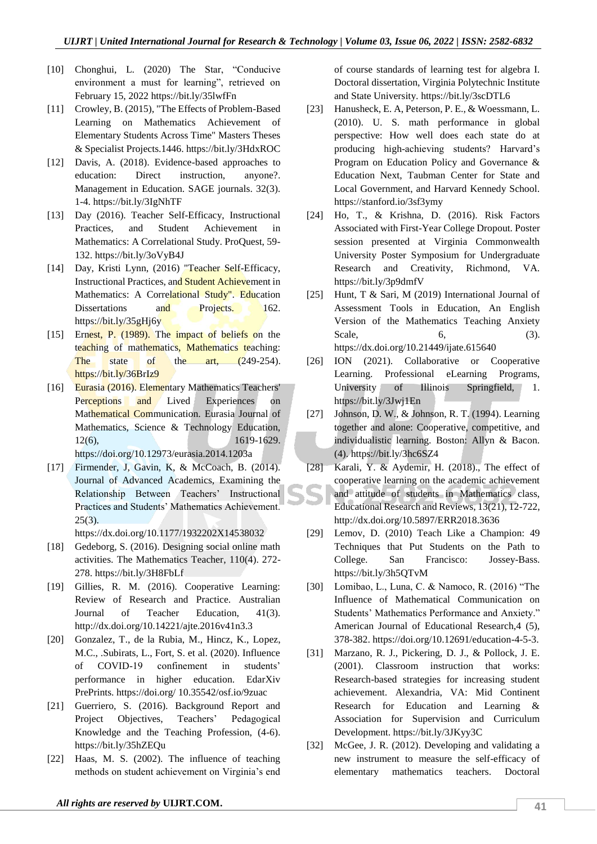- [10] Chonghui, L. (2020) The Star, "Conducive environment a must for learning", retrieved on February 15, 2022 https://bit.ly/35lwfFn
- [11] Crowley, B. (2015), "The Effects of Problem-Based Learning on Mathematics Achievement of Elementary Students Across Time" Masters Theses & Specialist Projects.1446. https://bit.ly/3HdxROC
- [12] Davis, A. (2018). Evidence-based approaches to education: Direct instruction, anyone?. Management in Education. SAGE journals. 32(3). 1-4. https://bit.ly/3IgNhTF
- [13] Day (2016). Teacher Self-Efficacy, Instructional Practices, and Student Achievement in Mathematics: A Correlational Study. ProQuest, 59- 132. https://bit.ly/3oVyB4J
- [14] Day, Kristi Lynn, (2016) "Teacher Self-Efficacy, Instructional Practices, and Student Achievement in Mathematics: A Correlational Study". Education Dissertations and Projects. 162. https://bit.ly/35gHj6y
- [15] Ernest, P. (1989). The impact of beliefs on the teaching of mathematics, Mathematics teaching: The state of the art, (249-254). https://bit.ly/36BrIz9
- [16] Eurasia (2016). Elementary Mathematics Teachers' Perceptions and Lived Experiences on Mathematical Communication. Eurasia Journal of Mathematics, Science & Technology Education, 12(6), 1619-1629. https://doi.org/10.12973/eurasia.2014.1203a
- [17] Firmender, J, Gavin, K, & McCoach, B. (2014). Journal of Advanced Academics, Examining the Relationship Between Teachers' Instructional Practices and Students' Mathematics Achievement.  $25(3)$ .

https://dx.doi.org/10.1177/1932202X14538032

- [18] Gedeborg, S. (2016). Designing social online math activities. The Mathematics Teacher, 110(4). 272- 278. https://bit.ly/3H8FbLf
- [19] Gillies, R. M. (2016). Cooperative Learning: Review of Research and Practice. Australian Journal of Teacher Education, 41(3). http://dx.doi.org/10.14221/ajte.2016v41n3.3
- [20] Gonzalez, T., de la Rubia, M., Hincz, K., Lopez, M.C., .Subirats, L., Fort, S. et al. (2020). Influence of COVID-19 confinement in students' performance in higher education. EdarXiv PrePrints. https://doi.org/ 10.35542/osf.io/9zuac
- [21] Guerriero, S. (2016). Background Report and Project Objectives, Teachers' Pedagogical Knowledge and the Teaching Profession, (4-6). https://bit.ly/35hZEQu
- [22] Haas, M. S. (2002). The influence of teaching methods on student achievement on Virginia's end

of course standards of learning test for algebra I. Doctoral dissertation, Virginia Polytechnic Institute and State University. https://bit.ly/3scDTL6

- [23] Hanusheck, E. A, Peterson, P. E., & Woessmann, L. (2010). U. S. math performance in global perspective: How well does each state do at producing high-achieving students? Harvard's Program on Education Policy and Governance & Education Next, Taubman Center for State and Local Government, and Harvard Kennedy School. https://stanford.io/3sf3ymy
- [24] Ho, T., & Krishna, D. (2016). Risk Factors Associated with First-Year College Dropout. Poster session presented at Virginia Commonwealth University Poster Symposium for Undergraduate Research and Creativity, Richmond, VA. https://bit.ly/3p9dmfV
- [25] Hunt, T & Sari, M (2019) International Journal of Assessment Tools in Education, An English Version of the Mathematics Teaching Anxiety Scale, 6, (3). https://dx.doi.org/10.21449/ijate.615640
- [26] ION (2021). Collaborative or Cooperative Learning. Professional eLearning Programs, University of Illinois Springfield, 1. https://bit.ly/3Jwj1En
- [27] Johnson, D. W., & Johnson, R. T. (1994). Learning together and alone: Cooperative, competitive, and individualistic learning. Boston: Allyn & Bacon. (4). https://bit.ly/3hc6SZ4
- [28] Karali, Y. & Aydemir, H. (2018)., The effect of cooperative learning on the academic achievement and attitude of students in Mathematics class, Educational Research and Reviews, 13(21), 12-722, http://dx.doi.org/10.5897/ERR2018.3636
- [29] Lemov, D. (2010) Teach Like a Champion: 49 Techniques that Put Students on the Path to College. San Francisco: Jossey-Bass. https://bit.ly/3h5QTvM
- [30] Lomibao, L., Luna, C. & Namoco, R. (2016) "The Influence of Mathematical Communication on Students' Mathematics Performance and Anxiety." American Journal of Educational Research,4 (5), 378-382. https://doi.org/10.12691/education-4-5-3.
- [31] Marzano, R. J., Pickering, D. J., & Pollock, J. E. (2001). Classroom instruction that works: Research-based strategies for increasing student achievement. Alexandria, VA: Mid Continent Research for Education and Learning & Association for Supervision and Curriculum Development. https://bit.ly/3JKyy3C
- [32] McGee, J. R. (2012). Developing and validating a new instrument to measure the self-efficacy of elementary mathematics teachers. Doctoral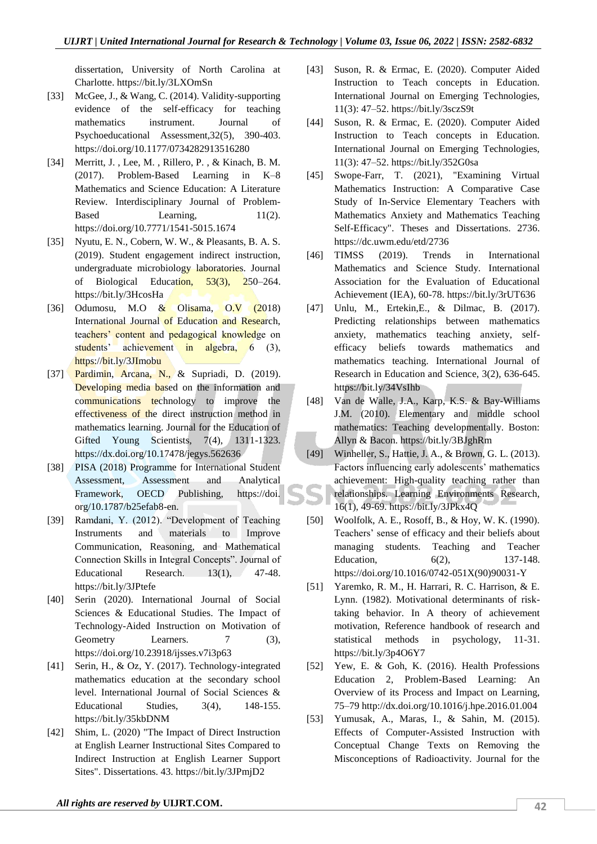dissertation, University of North Carolina at Charlotte. https://bit.ly/3LXOmSn

- [33] McGee, J., & Wang, C. (2014). Validity-supporting evidence of the self-efficacy for teaching mathematics instrument. Journal of Psychoeducational Assessment,32(5), 390-403. https://doi.org/10.1177/0734282913516280
- [34] Merritt, J., Lee, M., Rillero, P., & Kinach, B. M. (2017). Problem-Based Learning in K–8 Mathematics and Science Education: A Literature Review. Interdisciplinary Journal of Problem-Based Learning,  $11(2)$ . https://doi.org/10.7771/1541-5015.1674
- [35] Nyutu, E. N., Cobern, W. W., & Pleasants, B. A. S. (2019). Student engagement indirect instruction, undergraduate microbiology laboratories. Journal of Biological Education, 53(3), 250–264. https://bit.ly/3HcosHa
- [36] Odumosu, M.O & Olisama, O.V (2018) International Journal of Education and Research, teachers' content and pedagogical knowledge on students' achievement in algebra, 6 (3), https://bit.ly/3JImobu
- [37] Pardimin, Arcana, N., & Supriadi, D. (2019). Developing media based on the information and communications technology to improve the effectiveness of the direct instruction method in mathematics learning. Journal for the Education of Gifted Young Scientists, 7(4), 1311-1323. https://dx.doi.org/10.17478/jegys.562636
- [38] PISA (2018) Programme for International Student Assessment, Assessment and Analytical Framework, OECD Publishing, https://doi. org/10.1787/b25efab8-en.
- [39] Ramdani, Y. (2012). "Development of Teaching Instruments and materials to Improve Communication, Reasoning, and Mathematical Connection Skills in Integral Concepts". Journal of Educational Research. 13(1), 47-48. https://bit.ly/3JPtefe
- [40] Serin (2020). International Journal of Social Sciences & Educational Studies. The Impact of Technology-Aided Instruction on Motivation of Geometry Learners. 7 (3), https://doi.org/10.23918/ijsses.v7i3p63
- [41] Serin, H., & Oz, Y. (2017). Technology-integrated mathematics education at the secondary school level. International Journal of Social Sciences & Educational Studies, 3(4), 148-155. https://bit.ly/35kbDNM
- [42] Shim, L. (2020) "The Impact of Direct Instruction at English Learner Instructional Sites Compared to Indirect Instruction at English Learner Support Sites". Dissertations. 43. https://bit.ly/3JPmjD2
- [43] Suson, R. & Ermac, E. (2020). Computer Aided Instruction to Teach concepts in Education. International Journal on Emerging Technologies, 11(3): 47–52. https://bit.ly/3sczS9t
- [44] Suson, R. & Ermac, E. (2020). Computer Aided Instruction to Teach concepts in Education. International Journal on Emerging Technologies, 11(3): 47–52. https://bit.ly/352G0sa
- [45] Swope-Farr, T. (2021), "Examining Virtual Mathematics Instruction: A Comparative Case Study of In-Service Elementary Teachers with Mathematics Anxiety and Mathematics Teaching Self-Efficacy". Theses and Dissertations. 2736. https://dc.uwm.edu/etd/2736
- [46] TIMSS (2019). Trends in International Mathematics and Science Study. International Association for the Evaluation of Educational Achievement (IEA), 60-78. https://bit.ly/3rUT636
- [47] Unlu, M., Ertekin,E., & Dilmac, B. (2017). Predicting relationships between mathematics anxiety, mathematics teaching anxiety, selfefficacy beliefs towards mathematics and mathematics teaching. International Journal of Research in Education and Science, 3(2), 636-645. https://bit.ly/34VsIhb
- [48] Van de Walle, J.A., Karp, K.S. & Bay-Williams J.M. (2010). Elementary and middle school mathematics: Teaching developmentally. Boston: Allyn & Bacon. https://bit.ly/3BJghRm
- [49] Winheller, S., Hattie, J. A., & Brown, G. L. (2013). Factors influencing early adolescents' mathematics achievement: High-quality teaching rather than relationships. Learning Environments Research, 16(1), 49-69. https://bit.ly/3JPkx4Q
- [50] Woolfolk, A. E., Rosoff, B., & Hoy, W. K. (1990). Teachers' sense of efficacy and their beliefs about managing students. Teaching and Teacher Education, 6(2), 137-148. https://doi.org/10.1016/0742-051X(90)90031-Y
- [51] Yaremko, R. M., H. Harrari, R. C. Harrison, & E. Lynn. (1982). Motivational determinants of risktaking behavior. In A theory of achievement motivation, Reference handbook of research and statistical methods in psychology, 11-31. https://bit.ly/3p4O6Y7
- [52] Yew, E. & Goh, K. (2016). Health Professions Education 2, Problem-Based Learning: An Overview of its Process and Impact on Learning, 75–79 http://dx.doi.org/10.1016/j.hpe.2016.01.004
- [53] Yumusak, A., Maras, I., & Sahin, M. (2015). Effects of Computer-Assisted Instruction with Conceptual Change Texts on Removing the Misconceptions of Radioactivity. Journal for the